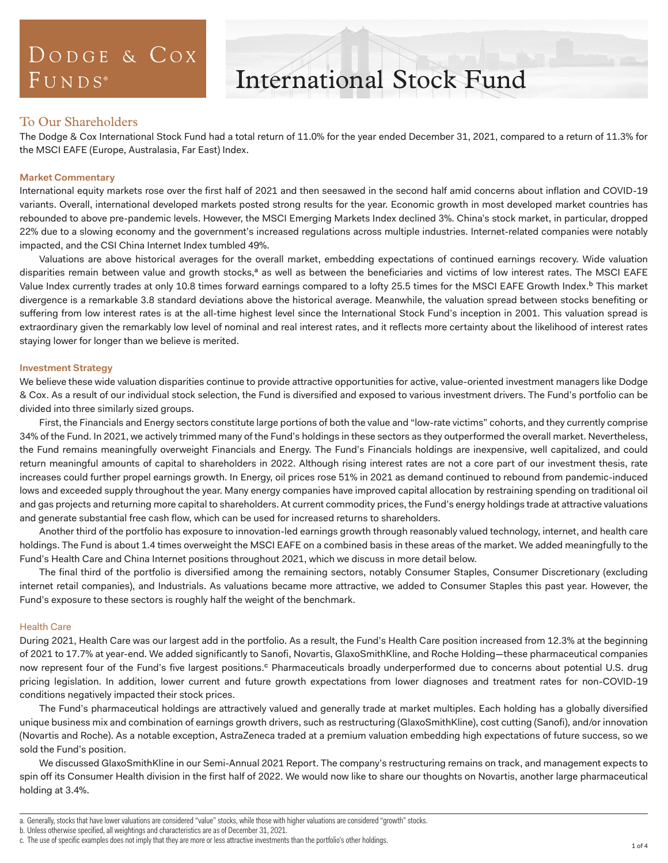## DODGE & COX  $FUNDS<sup>°</sup>$

# International Stock Fund

## To Our Shareholders

The Dodge & Cox International Stock Fund had a total return of 11.0% for the year ended December 31, 2021, compared to a return of 11.3% for the MSCI EAFE (Europe, Australasia, Far East) Index.

## **Market Commentary**

International equity markets rose over the first half of 2021 and then seesawed in the second half amid concerns about inflation and COVID-19 variants. Overall, international developed markets posted strong results for the year. Economic growth in most developed market countries has rebounded to above pre-pandemic levels. However, the MSCI Emerging Markets Index declined 3%. China's stock market, in particular, dropped 22% due to a slowing economy and the government's increased regulations across multiple industries. Internet-related companies were notably impacted, and the CSI China Internet Index tumbled 49%.

Valuations are above historical averages for the overall market, embedding expectations of continued earnings recovery. Wide valuation disparities remain between value and growth stocks,<sup>a</sup> as well as between the beneficiaries and victims of low interest rates. The MSCI EAFE Value Index currently trades at only 10.8 times forward earnings compared to a lofty 25.5 times for the MSCI EAFE Growth Index.<sup>b</sup> This market divergence is a remarkable 3.8 standard deviations above the historical average. Meanwhile, the valuation spread between stocks benefiting or suffering from low interest rates is at the all-time highest level since the International Stock Fund's inception in 2001. This valuation spread is extraordinary given the remarkably low level of nominal and real interest rates, and it reflects more certainty about the likelihood of interest rates staying lower for longer than we believe is merited.

## **Investment Strategy**

We believe these wide valuation disparities continue to provide attractive opportunities for active, value-oriented investment managers like Dodge & Cox. As a result of our individual stock selection, the Fund is diversified and exposed to various investment drivers. The Fund's portfolio can be divided into three similarly sized groups.

First, the Financials and Energy sectors constitute large portions of both the value and "low-rate victims" cohorts, and they currently comprise 34% of the Fund. In 2021, we actively trimmed many of the Fund's holdings in these sectors as they outperformed the overall market. Nevertheless, the Fund remains meaningfully overweight Financials and Energy. The Fund's Financials holdings are inexpensive, well capitalized, and could return meaningful amounts of capital to shareholders in 2022. Although rising interest rates are not a core part of our investment thesis, rate increases could further propel earnings growth. In Energy, oil prices rose 51% in 2021 as demand continued to rebound from pandemic-induced lows and exceeded supply throughout the year. Many energy companies have improved capital allocation by restraining spending on traditional oil and gas projects and returning more capital to shareholders. At current commodity prices, the Fund's energy holdings trade at attractive valuations and generate substantial free cash flow, which can be used for increased returns to shareholders.

Another third of the portfolio has exposure to innovation-led earnings growth through reasonably valued technology, internet, and health care holdings. The Fund is about 1.4 times overweight the MSCI EAFE on a combined basis in these areas of the market. We added meaningfully to the Fund's Health Care and China Internet positions throughout 2021, which we discuss in more detail below.

The final third of the portfolio is diversified among the remaining sectors, notably Consumer Staples, Consumer Discretionary (excluding internet retail companies), and Industrials. As valuations became more attractive, we added to Consumer Staples this past year. However, the Fund's exposure to these sectors is roughly half the weight of the benchmark.

## Health Care

During 2021, Health Care was our largest add in the portfolio. As a result, the Fund's Health Care position increased from 12.3% at the beginning of 2021 to 17.7% at year-end. We added significantly to Sanofi, Novartis, GlaxoSmithKline, and Roche Holding—these pharmaceutical companies now represent four of the Fund's five largest positions.<sup>c</sup> Pharmaceuticals broadly underperformed due to concerns about potential U.S. drug pricing legislation. In addition, lower current and future growth expectations from lower diagnoses and treatment rates for non-COVID-19 conditions negatively impacted their stock prices.

The Fund's pharmaceutical holdings are attractively valued and generally trade at market multiples. Each holding has a globally diversified unique business mix and combination of earnings growth drivers, such as restructuring (GlaxoSmithKline), cost cutting (Sanofi), and/or innovation (Novartis and Roche). As a notable exception, AstraZeneca traded at a premium valuation embedding high expectations of future success, so we sold the Fund's position.

We discussed GlaxoSmithKline in our Semi-Annual 2021 Report. The company's restructuring remains on track, and management expects to spin off its Consumer Health division in the first half of 2022. We would now like to share our thoughts on Novartis, another large pharmaceutical holding at 3.4%.

b. Unless otherwise specified, all weightings and characteristics are as of December 31, 2021.

a. Generally, stocks that have lower valuations are considered "value" stocks, while those with higher valuations are considered "growth" stocks.

c. The use of specific examples does not imply that they are more or less attractive investments than the portfolio's other holdings.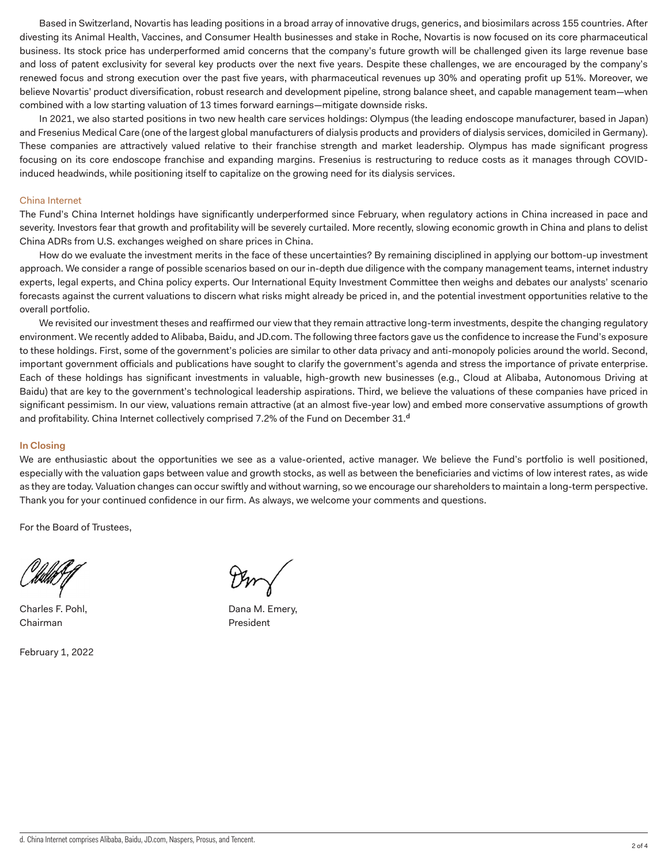Based in Switzerland, Novartis has leading positions in a broad array of innovative drugs, generics, and biosimilars across 155 countries. After divesting its Animal Health, Vaccines, and Consumer Health businesses and stake in Roche, Novartis is now focused on its core pharmaceutical business. Its stock price has underperformed amid concerns that the company's future growth will be challenged given its large revenue base and loss of patent exclusivity for several key products over the next five years. Despite these challenges, we are encouraged by the company's renewed focus and strong execution over the past five years, with pharmaceutical revenues up 30% and operating profit up 51%. Moreover, we believe Novartis' product diversification, robust research and development pipeline, strong balance sheet, and capable management team—when combined with a low starting valuation of 13 times forward earnings—mitigate downside risks.

In 2021, we also started positions in two new health care services holdings: Olympus (the leading endoscope manufacturer, based in Japan) and Fresenius Medical Care (one of the largest global manufacturers of dialysis products and providers of dialysis services, domiciled in Germany). These companies are attractively valued relative to their franchise strength and market leadership. Olympus has made significant progress focusing on its core endoscope franchise and expanding margins. Fresenius is restructuring to reduce costs as it manages through COVIDinduced headwinds, while positioning itself to capitalize on the growing need for its dialysis services.

### China Internet

The Fund's China Internet holdings have significantly underperformed since February, when regulatory actions in China increased in pace and severity. Investors fear that growth and profitability will be severely curtailed. More recently, slowing economic growth in China and plans to delist China ADRs from U.S. exchanges weighed on share prices in China.

How do we evaluate the investment merits in the face of these uncertainties? By remaining disciplined in applying our bottom-up investment approach. We consider a range of possible scenarios based on our in-depth due diligence with the company management teams, internet industry experts, legal experts, and China policy experts. Our International Equity Investment Committee then weighs and debates our analysts' scenario forecasts against the current valuations to discern what risks might already be priced in, and the potential investment opportunities relative to the overall portfolio.

We revisited our investment theses and reaffirmed our view that they remain attractive long-term investments, despite the changing regulatory environment. We recently added to Alibaba, Baidu, and JD.com. The following three factors gave us the confidence to increase the Fund's exposure to these holdings. First, some of the government's policies are similar to other data privacy and anti-monopoly policies around the world. Second, important government officials and publications have sought to clarify the government's agenda and stress the importance of private enterprise. Each of these holdings has significant investments in valuable, high-growth new businesses (e.g., Cloud at Alibaba, Autonomous Driving at Baidu) that are key to the government's technological leadership aspirations. Third, we believe the valuations of these companies have priced in significant pessimism. In our view, valuations remain attractive (at an almost five-year low) and embed more conservative assumptions of growth and profitability. China Internet collectively comprised 7.2% of the Fund on December  $31.^d$ 

#### **In Closing**

We are enthusiastic about the opportunities we see as a value-oriented, active manager. We believe the Fund's portfolio is well positioned, especially with the valuation gaps between value and growth stocks, as well as between the beneficiaries and victims of low interest rates, as wide as they are today. Valuation changes can occur swiftly and without warning, so we encourage our shareholders to maintain a long-term perspective. Thank you for your continued confidence in our firm. As always, we welcome your comments and questions.

For the Board of Trustees,

Chairman President

February 1, 2022

Charles F. Pohl, **Dana M. Emery,** Dana M. Emery,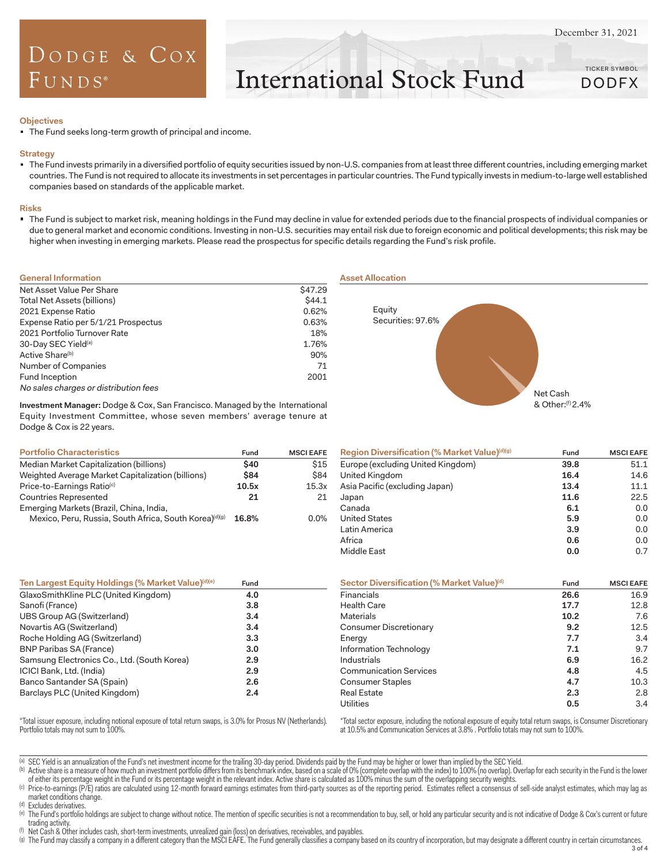## DODGE & COX  $F$ UNDS<sup>®</sup>

International Stock Fund

TICKER SYMBOL DODFX

#### **Objectives**

The Fund seeks long-term growth of principal and income.

#### **Strategy**

 The Fund invests primarily in a diversified portfolio of equity securities issued by non-U.S. companies from at least three different countries, including emerging market countries. The Fund is not required to allocate its investments in set percentages in particular countries. The Fund typically invests in medium-to-large well established companies based on standards of the applicable market.

#### **Risks**

 The Fund is subject to market risk, meaning holdings in the Fund may decline in value for extended periods due to the financial prospects of individual companies or due to general market and economic conditions. Investing in non-U.S. securities may entail risk due to foreign economic and political developments; this risk may be higher when investing in emerging markets. Please read the prospectus for specific details regarding the Fund's risk profile.

| <b>General Information</b>            |         |
|---------------------------------------|---------|
| Net Asset Value Per Share             | \$47.29 |
| Total Net Assets (billions)           | \$44.1  |
| 2021 Expense Ratio                    | 0.62%   |
| Expense Ratio per 5/1/21 Prospectus   | 0.63%   |
| 2021 Portfolio Turnover Rate          | 18%     |
| 30-Day SEC Yield <sup>(a)</sup>       | 1.76%   |
| Active Share <sup>(b)</sup>           | 90%     |
| Number of Companies                   | 71      |
| Fund Inception                        | 2001    |
| No sales charges or distribution fees |         |

**Investment Manager:** Dodge & Cox, San Francisco. Managed by the International Equity Investment Committee, whose seven members' average tenure at Dodge & Cox is 22 years.

| <b>Portfolio Characteristics</b>                       | Fund  | <b>MSCI EAFE</b> |
|--------------------------------------------------------|-------|------------------|
| Median Market Capitalization (billions)                | \$40  | \$15             |
| Weighted Average Market Capitalization (billions)      | \$84  | <b>\$84</b>      |
| Price-to-Earnings Ratio <sup>(c)</sup>                 | 10.5x | 15.3x            |
| Countries Represented                                  | 21    | 21               |
| Emerging Markets (Brazil, China, India,                |       |                  |
| Mexico, Peru, Russia, South Africa, South Korea)(d)(g) | 16.8% | $0.0\%$          |

| <b>Asset Allocation</b> |  |  |
|-------------------------|--|--|
|                         |  |  |
|                         |  |  |



| Region Diversification (% Market Value)(d)(g) | Fund | <b>MSCI EAFE</b> |
|-----------------------------------------------|------|------------------|
| Europe (excluding United Kingdom)             | 39.8 | 51.1             |
| United Kingdom                                | 16.4 | 14.6             |
| Asia Pacific (excluding Japan)                | 13.4 | 11.1             |
| Japan                                         | 11.6 | 22.5             |
| Canada                                        | 6.1  | 0.0              |
| <b>United States</b>                          | 5.9  | 0.0              |
| Latin America                                 | 3.9  | 0.0              |
| Africa                                        | 0.6  | 0.0              |
| Middle East                                   | 0.0  | 0.7              |

| Ten Largest Equity Holdings (% Market Value)(d)(e) | Fund | Sector Diversification (% Market Value)(d) | Fund | <b>MSCI EAFE</b> |
|----------------------------------------------------|------|--------------------------------------------|------|------------------|
| GlaxoSmithKline PLC (United Kingdom)               | 4.0  | <b>Financials</b>                          | 26.6 | 16.9             |
| Sanofi (France)                                    | 3.8  | <b>Health Care</b>                         | 17.7 | 12.8             |
| UBS Group AG (Switzerland)                         | 3.4  | <b>Materials</b>                           | 10.2 | 7.6              |
| Novartis AG (Switzerland)                          | 3.4  | Consumer Discretionary                     | 9.2  | 12.5             |
| Roche Holding AG (Switzerland)                     | 3.3  | Energy                                     | 7.7  | 3.4              |
| <b>BNP Paribas SA (France)</b>                     | 3.0  | Information Technology                     | 7.1  | 9.7              |
| Samsung Electronics Co., Ltd. (South Korea)        | 2.9  | Industrials                                | 6.9  | 16.2             |
| ICICI Bank, Ltd. (India)                           | 2.9  | <b>Communication Services</b>              | 4.8  | 4.5              |
| Banco Santander SA (Spain)                         | 2.6  | Consumer Staples                           | 4.7  | 10.3             |
| Barclays PLC (United Kingdom)                      | 2.4  | <b>Real Estate</b>                         | 2.3  | 2.8              |
|                                                    |      | <b>Utilities</b>                           | 0.5  | 3.4              |

\*Total issuer exposure, including notional exposure of total return swaps, is 3.0% for Prosus NV (Netherlands). Portfolio totals may not sum to 100%.

\*Total sector exposure, including the notional exposure of equity total return swaps, is Consumer Discretionary at 10.5% and Communication Services at 3.8% . Portfolio totals may not sum to 100%.

(a) SEC Yield is an annualization of the Fund's net investment income for the trailing 30-day period. Dividends paid by the Fund may be higher or lower than implied by the SEC Yield.

(b) Active share is a measure of how much an investment portfolio differs from its benchmark index, based on a scale of 0% (complete overlap with the index) to 100% (no overlap). Overlap for each security in the Fund is th of either its percentage weight in the Fund or its percentage weight in the relevant index. Active share is calculated as 100% minus the sum of the overlapping security weights.

(c) Price-to-earnings (P/E) ratios are calculated using 12-month forward earnings estimates from third-party sources as of the reporting period. Estimates reflect a consensus of sell-side analyst estimates, which may lag a market conditions change.

(d) Excludes derivatives.

(e) The Fund's portfolio holdings are subject to change without notice. The mention of specific securities is not a recommendation to buy, sell, or hold any particular security and is not indicative of Dodge & Cox's curren trading activity.

 $<sup>(f)</sup>$  Net Cash & Other includes cash, short-term investments, unrealized gain (loss) on derivatives, receivables, and payables.</sup>

(g) The Fund may classify a company in a different category than the MSCI EAFE. The Fund generally classifies a company based on its country of incorporation, but may designate a different country in certain circumstances.